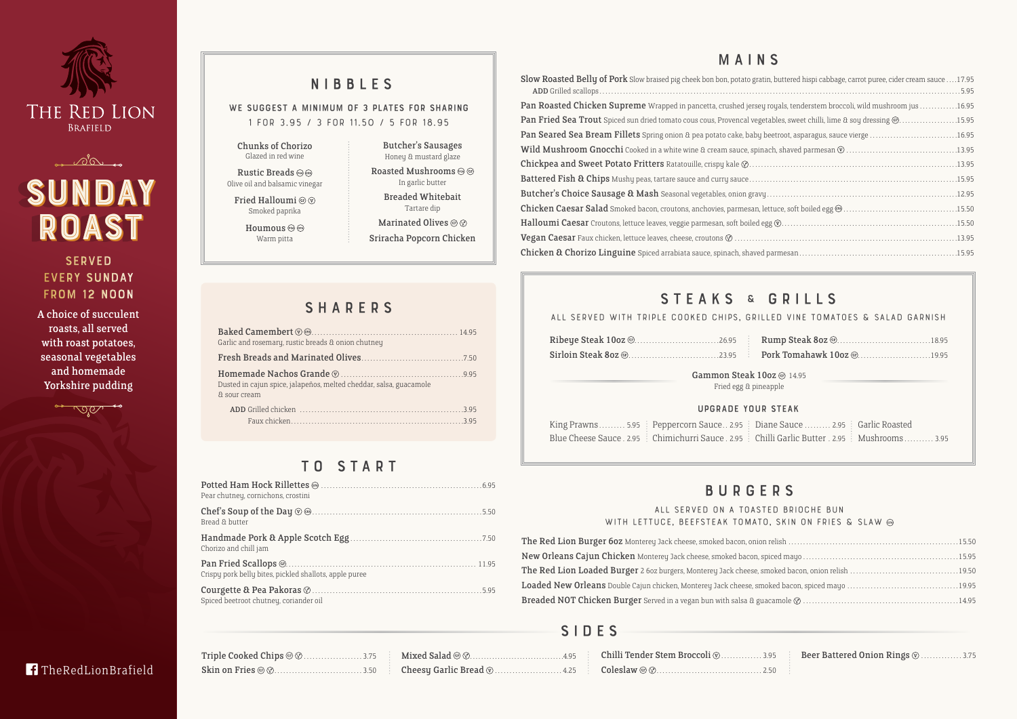**TheRedLionBrafield** 

| 1, buttered hispi cabbage, carrot puree, cider cream sauce 17.95 |  |
|------------------------------------------------------------------|--|
| oyals, tenderstem broccoli, wild mushroom jus 16.95              |  |
| ables, sweet chilli, lime $\alpha$ soy dressing $@$ 15.95        |  |
|                                                                  |  |
|                                                                  |  |
|                                                                  |  |
|                                                                  |  |
|                                                                  |  |
|                                                                  |  |
|                                                                  |  |
|                                                                  |  |
|                                                                  |  |
|                                                                  |  |

## T O S T A R T

WE SUGGEST A MINIMUM OF 3 PLATES FOR SHARING **1 for 3.95 / 3 for 11.50 / 5 for 18.95**

> **All served on a toasted brioche bun**  WITH LETTUCE, BEEFSTEAK TOMATO

The Red Lion Burger 60z Monterey Jack cheese, smoked bacon, onion New Orleans Cajun Chicken Monterey Jack cheese, smoked bacon, sp. The Red Lion Loaded Burger 2 6oz burgers, Monterey Jack cheese, sm Loaded New Orleans Double Cajun chicken, Monterey Jack cheese, smo. Breaded NOT Chicken Burger Served in a vegan bun with salsa & gua

| Pear chutney, cornichons, crostini                     |  |
|--------------------------------------------------------|--|
| Bread & butter                                         |  |
| Chorizo and chill jam                                  |  |
| Crispu pork belly bites, pickled shallots, apple puree |  |
| Spiced beetroot chutney, coriander oil                 |  |

Slow Roasted Belly of Pork Slow braised pig cheek bon bon, potato gratin Add Grilled scallops . . . . . . . . . . . . . . . . . . . . . . . . . . . . . . . . . . . . . . . . . . . . . . . . . . . . . . . . . . . . . . . . . . . . . . . . . . . . . . . . . . . . . . . . . . . . . . . . . . . . . . . . . . . . . . . . . . . . . . . . . . 5.95

Pan Roasted Chicken Supreme Wrapped in pancetta, crushed jersey rowals, tenderstem broad and mush response . Pan Fried Sea Trout Spiced sun dried tomato cous cous, Provencal vegeta Pan Seared Sea Bream Fillets Spring onion & pea potato cake, baby be Wild Mushroom Gnocchi Cooked in a white wine & cream sauce, spinach, shaved parameters Chickpea and Sweet Potato Fritters Ratatouille, crispy kale  $\oslash$ ....... Battered Fish & Chips Mushy peas, tartare sauce and curry sauce....... Butcher's Choice Sausage & Mash Seasonal vegetables, onion gravy. Chicken Caesar Salad Smoked bacon, croutons, anchovies, parmesan, let Halloumi Caesar Croutons, lettuce leaves, veggie parmesan, soft boiled egg **Vegan Caesar** Faux chicken, lettuce leaves, cheese, croutons  $\emptyset$  ........... Chicken & Chorizo Linguine Spiced arrabiata sauce, spinach, shaved p

### STEAKS & GRILLS

## NIBBLES

## BURGERS

## MAINS

### **SERVED** every Sunday from 12 Noon

Rustic Breads Olive oil and balsamic vinegar Fried Halloumi @  $\circledcirc$ 

> Smoked paprika Houmous <sup>@</sup>

Marinated Olives @  $\oslash$ Sriracha Popcorn Chicken

| Garlic and rosemary, rustic breads & onion chutney                                 |
|------------------------------------------------------------------------------------|
|                                                                                    |
| Dusted in cajun spice, jalapeños, melted cheddar, salsa, guacamole<br>& sour cream |
|                                                                                    |

A choice of succulent roasts, all served with roast potatoes, seasonal vegetables and homemade Yorkshire pudding



## S I D E S

|                                                    | ALL SERVED WITH TRIPLE COOKED CHIPS, GRILLED VINE TOMATOES & SALAD GARNISH |  |  |  |  |  |  |  |  |  |
|----------------------------------------------------|----------------------------------------------------------------------------|--|--|--|--|--|--|--|--|--|
|                                                    |                                                                            |  |  |  |  |  |  |  |  |  |
| Gammon Steak 10oz @ 14.95<br>Fried egg & pineapple |                                                                            |  |  |  |  |  |  |  |  |  |





Chunks of Chorizo Glazed in red wine

Warm pitta

Butcher's Sausages Honey & mustard glaze Roasted Mushrooms  $\circledcirc$   $\circledcirc$ In garlic butter Breaded Whitebait Tartare dip

## **SHARERS**

### Upgrade your steak

King Prawns . . . . . . . . 5.95  $\,$  Peppercorn Sauce . . 2.95  $\,$  Diane Sauce . . . . . . . . 2.95 Blue Cheese Sauce . 2.95 : Chimichurri Sauce . 2.95 : Chilli Garlic Butter . 2.95

| ne Sauce  2.95   Garlic Roasted |                                           |
|---------------------------------|-------------------------------------------|
|                                 | lli Garlic Butter . 2.95   Mushrooms 3.95 |

| LU DRIUUIIL DUIN         |  |
|--------------------------|--|
| , SKIN ON FRIES & SLAW @ |  |
|                          |  |
|                          |  |
|                          |  |
|                          |  |
|                          |  |
|                          |  |

Beer Battered Onion Rings  $\textcircled{3}$  . . . . . . . . . . . . 3.75